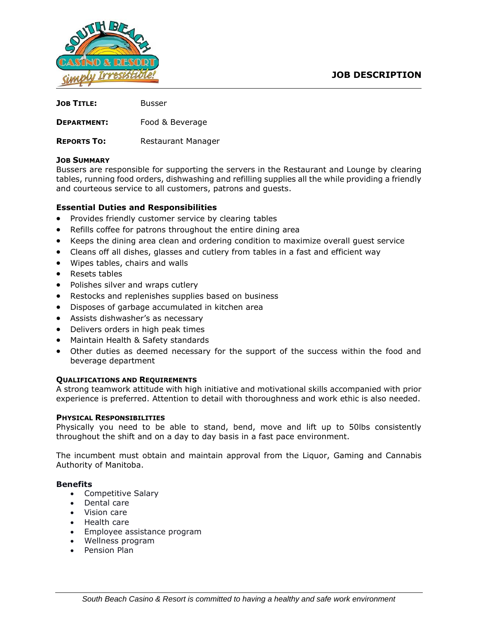# **JOB DESCRIPTION**



| <b>JOB TITLE:</b>  | Busser             |
|--------------------|--------------------|
| <b>DEPARTMENT:</b> | Food & Beverage    |
| <b>REPORTS TO:</b> | Restaurant Manager |

## **JOB SUMMARY**

Bussers are responsible for supporting the servers in the Restaurant and Lounge by clearing tables, running food orders, dishwashing and refilling supplies all the while providing a friendly and courteous service to all customers, patrons and guests.

## **Essential Duties and Responsibilities**

- Provides friendly customer service by clearing tables
- Refills coffee for patrons throughout the entire dining area
- Keeps the dining area clean and ordering condition to maximize overall guest service
- Cleans off all dishes, glasses and cutlery from tables in a fast and efficient way
- Wipes tables, chairs and walls
- Resets tables
- Polishes silver and wraps cutlery
- Restocks and replenishes supplies based on business
- Disposes of garbage accumulated in kitchen area
- Assists dishwasher's as necessary
- Delivers orders in high peak times
- Maintain Health & Safety standards
- Other duties as deemed necessary for the support of the success within the food and beverage department

#### **QUALIFICATIONS AND REQUIREMENTS**

A strong teamwork attitude with high initiative and motivational skills accompanied with prior experience is preferred. Attention to detail with thoroughness and work ethic is also needed.

#### **PHYSICAL RESPONSIBILITIES**

Physically you need to be able to stand, bend, move and lift up to 50lbs consistently throughout the shift and on a day to day basis in a fast pace environment.

The incumbent must obtain and maintain approval from the Liquor, Gaming and Cannabis Authority of Manitoba.

#### **Benefits**

- Competitive Salary
- Dental care
- Vision care
- Health care
- Employee assistance program
- Wellness program
- Pension Plan